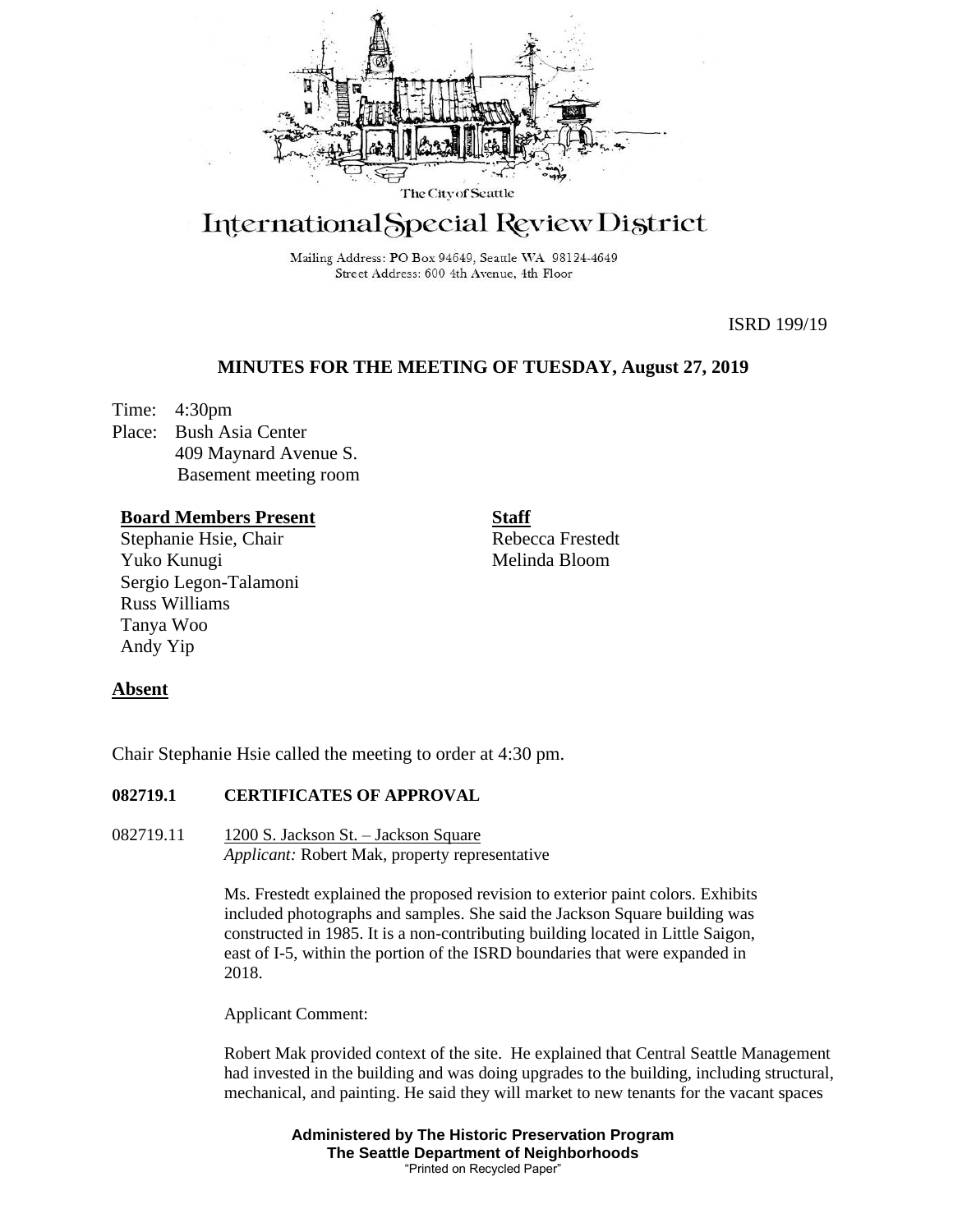

# International Special Review District

Mailing Address: PO Box 94649, Seattle WA 98124-4649 Street Address: 600 4th Avenue, 4th Floor

ISRD 199/19

# **MINUTES FOR THE MEETING OF TUESDAY, August 27, 2019**

Time: 4:30pm Place: Bush Asia Center 409 Maynard Avenue S. Basement meeting room

## **Board Members Present**

Stephanie Hsie, Chair Yuko Kunugi Sergio Legon-Talamoni Russ Williams Tanya Woo Andy Yip

**Staff**

Rebecca Frestedt Melinda Bloom

## **Absent**

Chair Stephanie Hsie called the meeting to order at 4:30 pm.

# **082719.1 CERTIFICATES OF APPROVAL**

082719.11 1200 S. Jackson St. – Jackson Square *Applicant:* Robert Mak, property representative

> Ms. Frestedt explained the proposed revision to exterior paint colors. Exhibits included photographs and samples. She said the Jackson Square building was constructed in 1985. It is a non-contributing building located in Little Saigon, east of I-5, within the portion of the ISRD boundaries that were expanded in 2018.

Applicant Comment:

Robert Mak provided context of the site. He explained that Central Seattle Management had invested in the building and was doing upgrades to the building, including structural, mechanical, and painting. He said they will market to new tenants for the vacant spaces

> **Administered by The Historic Preservation Program The Seattle Department of Neighborhoods** "Printed on Recycled Paper"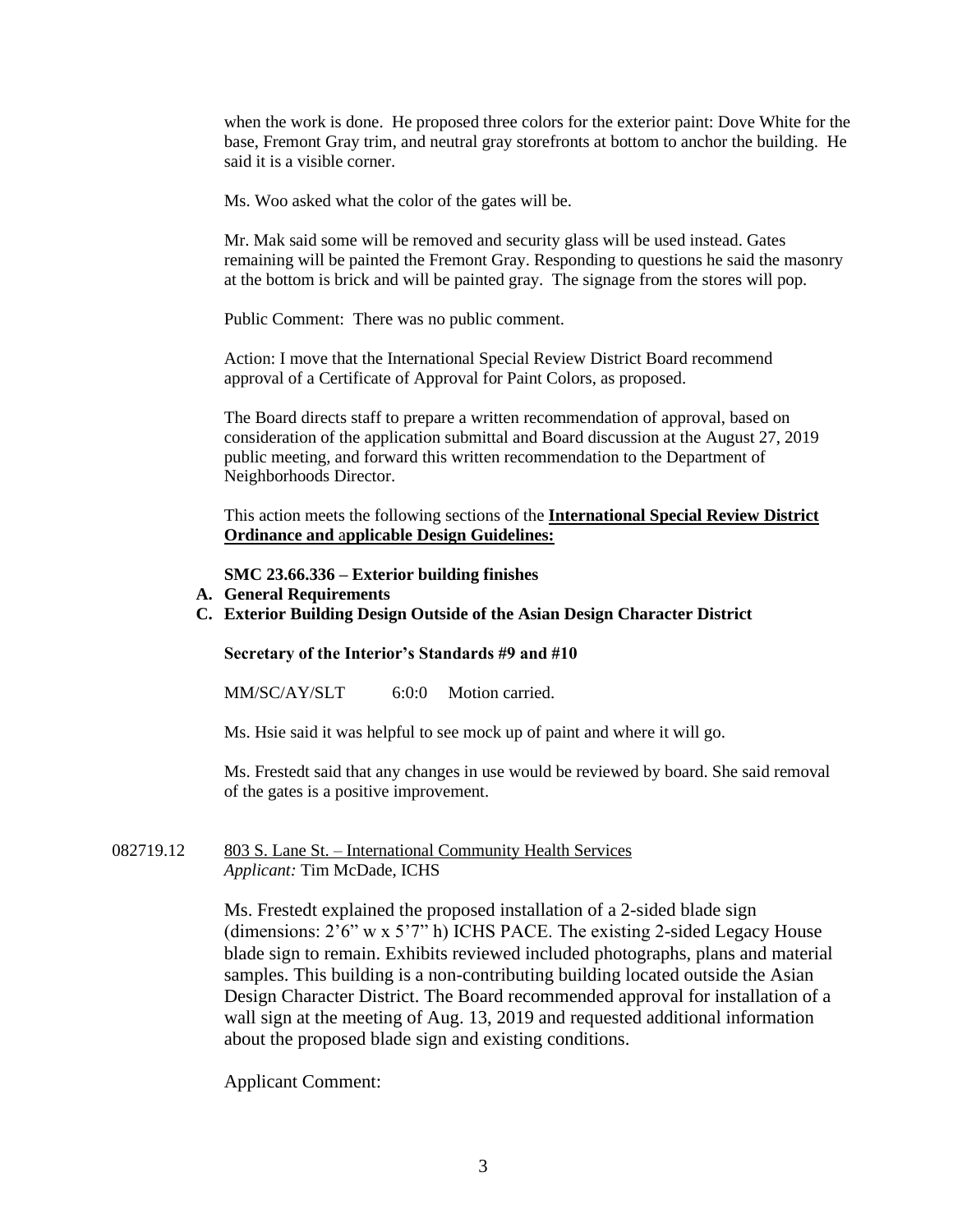when the work is done. He proposed three colors for the exterior paint: Dove White for the base, Fremont Gray trim, and neutral gray storefronts at bottom to anchor the building. He said it is a visible corner.

Ms. Woo asked what the color of the gates will be.

Mr. Mak said some will be removed and security glass will be used instead. Gates remaining will be painted the Fremont Gray. Responding to questions he said the masonry at the bottom is brick and will be painted gray. The signage from the stores will pop.

Public Comment: There was no public comment.

Action: I move that the International Special Review District Board recommend approval of a Certificate of Approval for Paint Colors, as proposed.

The Board directs staff to prepare a written recommendation of approval, based on consideration of the application submittal and Board discussion at the August 27, 2019 public meeting, and forward this written recommendation to the Department of Neighborhoods Director.

This action meets the following sections of the **International Special Review District Ordinance and** a**pplicable Design Guidelines:**

#### **SMC 23.66.336 – Exterior building finishes**

- **A. General Requirements**
- **C. Exterior Building Design Outside of the Asian Design Character District**

#### **Secretary of the Interior's Standards #9 and #10**

MM/SC/AY/SLT 6:0:0 Motion carried.

Ms. Hsie said it was helpful to see mock up of paint and where it will go.

Ms. Frestedt said that any changes in use would be reviewed by board. She said removal of the gates is a positive improvement.

082719.12 803 S. Lane St. – International Community Health Services *Applicant:* Tim McDade, ICHS

> Ms. Frestedt explained the proposed installation of a 2-sided blade sign (dimensions: 2'6" w x 5'7" h) ICHS PACE. The existing 2-sided Legacy House blade sign to remain. Exhibits reviewed included photographs, plans and material samples. This building is a non-contributing building located outside the Asian Design Character District. The Board recommended approval for installation of a wall sign at the meeting of Aug. 13, 2019 and requested additional information about the proposed blade sign and existing conditions.

Applicant Comment: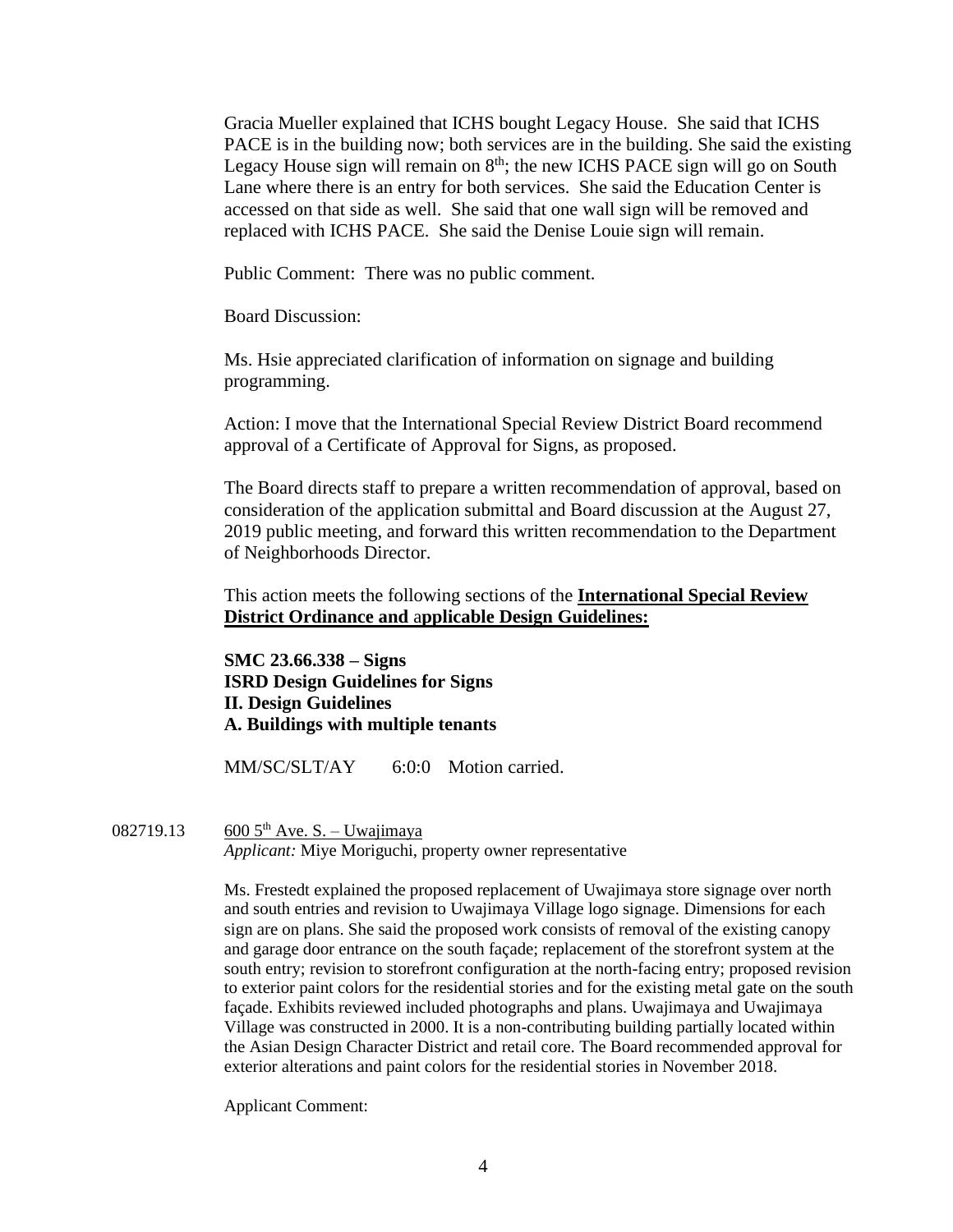Gracia Mueller explained that ICHS bought Legacy House. She said that ICHS PACE is in the building now; both services are in the building. She said the existing Legacy House sign will remain on  $8<sup>th</sup>$ ; the new ICHS PACE sign will go on South Lane where there is an entry for both services. She said the Education Center is accessed on that side as well. She said that one wall sign will be removed and replaced with ICHS PACE. She said the Denise Louie sign will remain.

Public Comment: There was no public comment.

Board Discussion:

Ms. Hsie appreciated clarification of information on signage and building programming.

Action: I move that the International Special Review District Board recommend approval of a Certificate of Approval for Signs, as proposed.

The Board directs staff to prepare a written recommendation of approval, based on consideration of the application submittal and Board discussion at the August 27, 2019 public meeting, and forward this written recommendation to the Department of Neighborhoods Director.

This action meets the following sections of the **International Special Review District Ordinance and** a**pplicable Design Guidelines:**

**SMC 23.66.338 – Signs ISRD Design Guidelines for Signs II. Design Guidelines A. Buildings with multiple tenants**

MM/SC/SLT/AY 6:0:0 Motion carried.

## 082719.13 600  $5^{th}$  Ave. S. – Uwajimaya

*Applicant:* Miye Moriguchi, property owner representative

Ms. Frestedt explained the proposed replacement of Uwajimaya store signage over north and south entries and revision to Uwajimaya Village logo signage. Dimensions for each sign are on plans. She said the proposed work consists of removal of the existing canopy and garage door entrance on the south façade; replacement of the storefront system at the south entry; revision to storefront configuration at the north-facing entry; proposed revision to exterior paint colors for the residential stories and for the existing metal gate on the south façade. Exhibits reviewed included photographs and plans. Uwajimaya and Uwajimaya Village was constructed in 2000. It is a non-contributing building partially located within the Asian Design Character District and retail core. The Board recommended approval for exterior alterations and paint colors for the residential stories in November 2018.

Applicant Comment: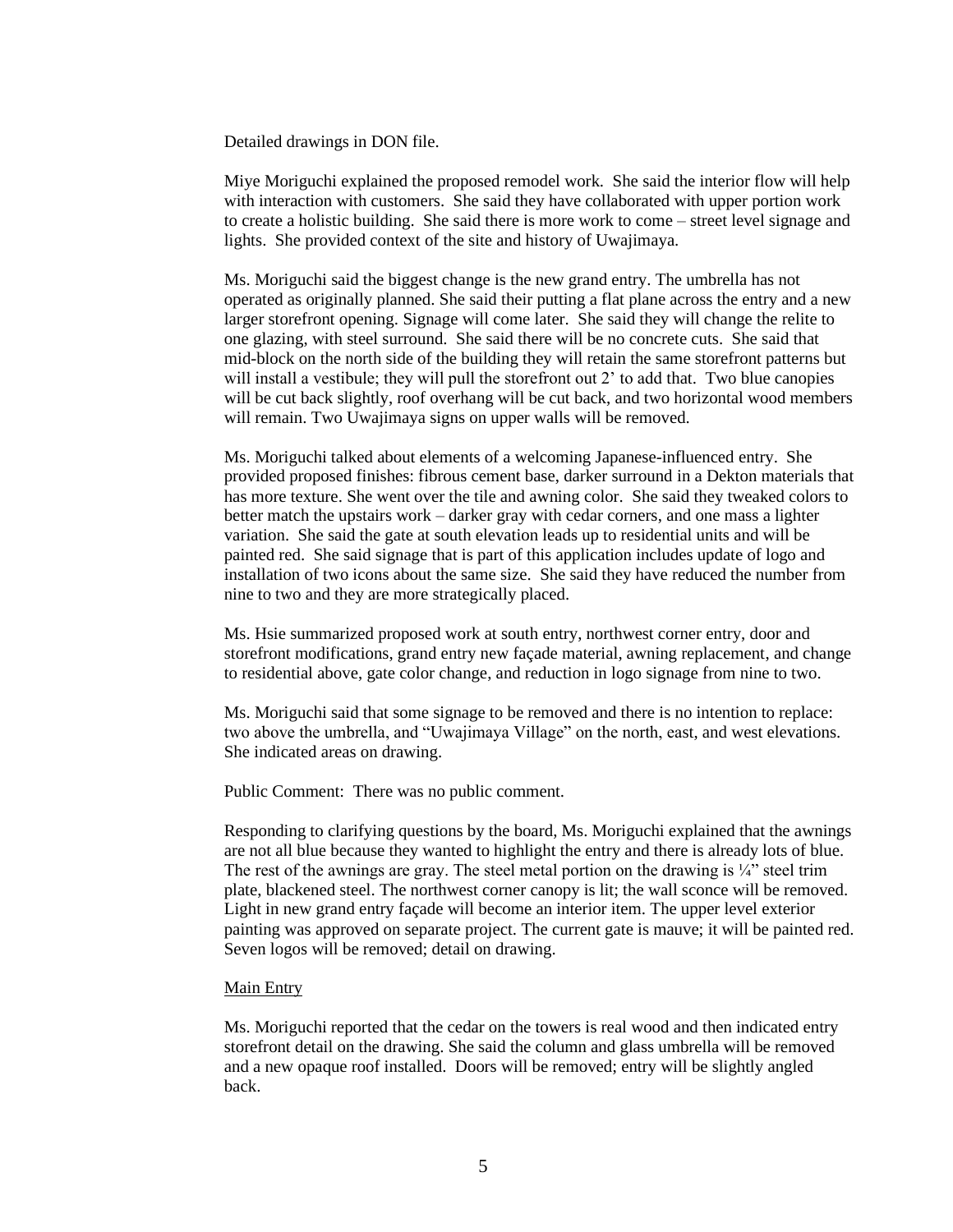Detailed drawings in DON file.

Miye Moriguchi explained the proposed remodel work. She said the interior flow will help with interaction with customers. She said they have collaborated with upper portion work to create a holistic building. She said there is more work to come – street level signage and lights. She provided context of the site and history of Uwajimaya.

Ms. Moriguchi said the biggest change is the new grand entry. The umbrella has not operated as originally planned. She said their putting a flat plane across the entry and a new larger storefront opening. Signage will come later. She said they will change the relite to one glazing, with steel surround. She said there will be no concrete cuts. She said that mid-block on the north side of the building they will retain the same storefront patterns but will install a vestibule; they will pull the storefront out 2' to add that. Two blue canopies will be cut back slightly, roof overhang will be cut back, and two horizontal wood members will remain. Two Uwajimaya signs on upper walls will be removed.

Ms. Moriguchi talked about elements of a welcoming Japanese-influenced entry. She provided proposed finishes: fibrous cement base, darker surround in a Dekton materials that has more texture. She went over the tile and awning color. She said they tweaked colors to better match the upstairs work – darker gray with cedar corners, and one mass a lighter variation. She said the gate at south elevation leads up to residential units and will be painted red. She said signage that is part of this application includes update of logo and installation of two icons about the same size. She said they have reduced the number from nine to two and they are more strategically placed.

Ms. Hsie summarized proposed work at south entry, northwest corner entry, door and storefront modifications, grand entry new façade material, awning replacement, and change to residential above, gate color change, and reduction in logo signage from nine to two.

Ms. Moriguchi said that some signage to be removed and there is no intention to replace: two above the umbrella, and "Uwajimaya Village" on the north, east, and west elevations. She indicated areas on drawing.

Public Comment: There was no public comment.

Responding to clarifying questions by the board, Ms. Moriguchi explained that the awnings are not all blue because they wanted to highlight the entry and there is already lots of blue. The rest of the awnings are gray. The steel metal portion on the drawing is  $\frac{1}{4}$  steel trim plate, blackened steel. The northwest corner canopy is lit; the wall sconce will be removed. Light in new grand entry façade will become an interior item. The upper level exterior painting was approved on separate project. The current gate is mauve; it will be painted red. Seven logos will be removed; detail on drawing.

#### Main Entry

Ms. Moriguchi reported that the cedar on the towers is real wood and then indicated entry storefront detail on the drawing. She said the column and glass umbrella will be removed and a new opaque roof installed. Doors will be removed; entry will be slightly angled back.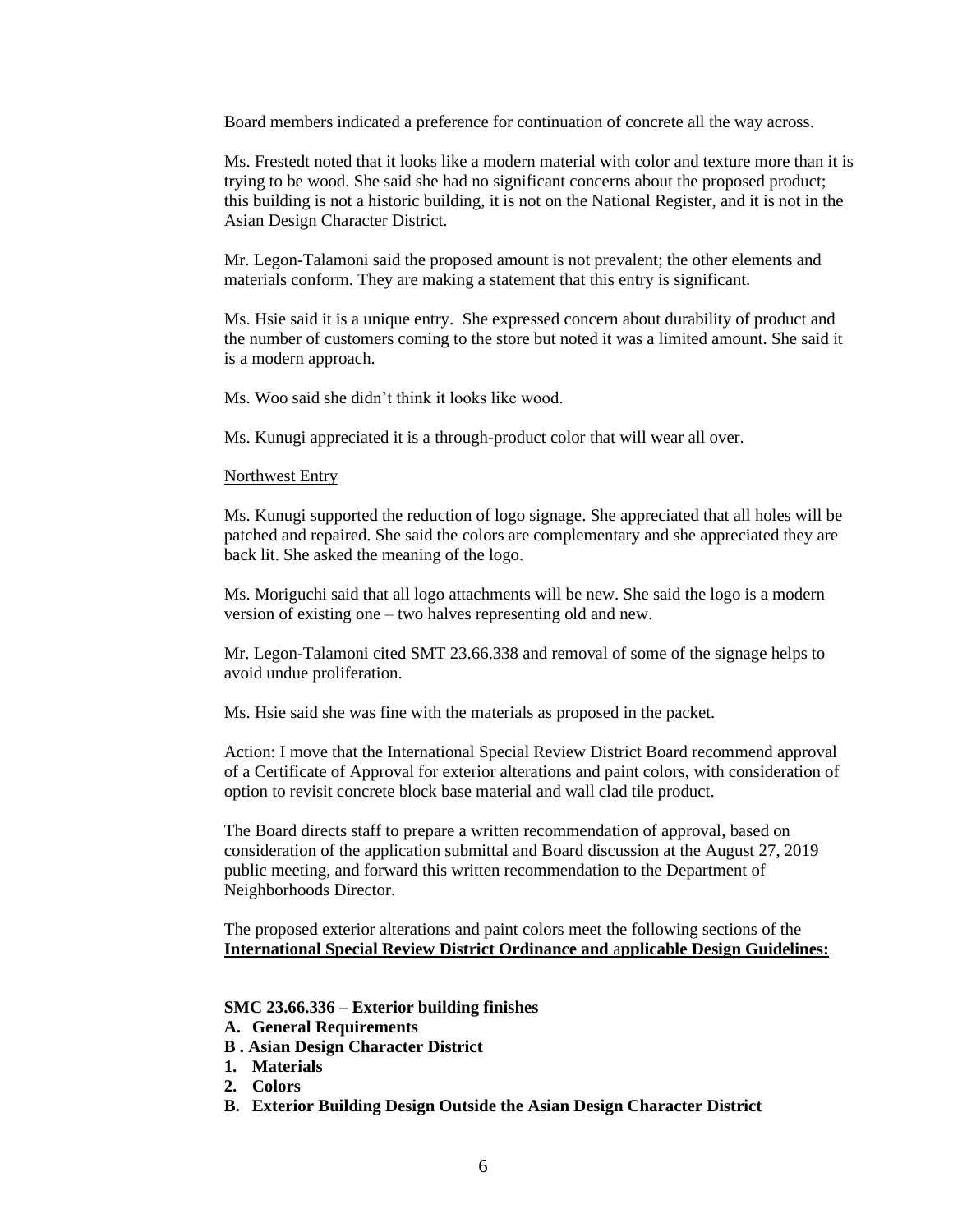Board members indicated a preference for continuation of concrete all the way across.

Ms. Frestedt noted that it looks like a modern material with color and texture more than it is trying to be wood. She said she had no significant concerns about the proposed product; this building is not a historic building, it is not on the National Register, and it is not in the Asian Design Character District.

Mr. Legon-Talamoni said the proposed amount is not prevalent; the other elements and materials conform. They are making a statement that this entry is significant.

Ms. Hsie said it is a unique entry. She expressed concern about durability of product and the number of customers coming to the store but noted it was a limited amount. She said it is a modern approach.

Ms. Woo said she didn't think it looks like wood.

Ms. Kunugi appreciated it is a through-product color that will wear all over.

## Northwest Entry

Ms. Kunugi supported the reduction of logo signage. She appreciated that all holes will be patched and repaired. She said the colors are complementary and she appreciated they are back lit. She asked the meaning of the logo.

Ms. Moriguchi said that all logo attachments will be new. She said the logo is a modern version of existing one – two halves representing old and new.

Mr. Legon-Talamoni cited SMT 23.66.338 and removal of some of the signage helps to avoid undue proliferation.

Ms. Hsie said she was fine with the materials as proposed in the packet.

Action: I move that the International Special Review District Board recommend approval of a Certificate of Approval for exterior alterations and paint colors, with consideration of option to revisit concrete block base material and wall clad tile product.

The Board directs staff to prepare a written recommendation of approval, based on consideration of the application submittal and Board discussion at the August 27, 2019 public meeting, and forward this written recommendation to the Department of Neighborhoods Director.

The proposed exterior alterations and paint colors meet the following sections of the **International Special Review District Ordinance and** a**pplicable Design Guidelines:**

## **SMC 23.66.336 – Exterior building finishes**

- **A. General Requirements**
- **B . Asian Design Character District**
- **1. Materials**
- **2. Colors**
- **B. Exterior Building Design Outside the Asian Design Character District**